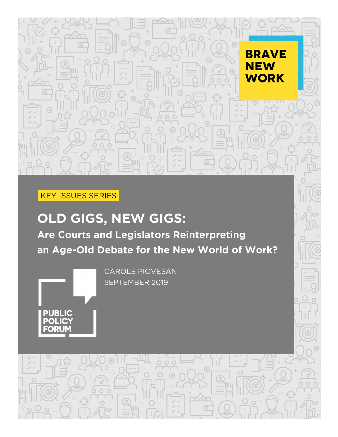

## **KEY ISSUES SERIES**

# OLD GIGS, NEW GIGS: Are Courts and Legislators Reinterpreting an Age-Old Debate for the New World of Work?



**CAROLE PIOVESAN** SEPTEMBER 2019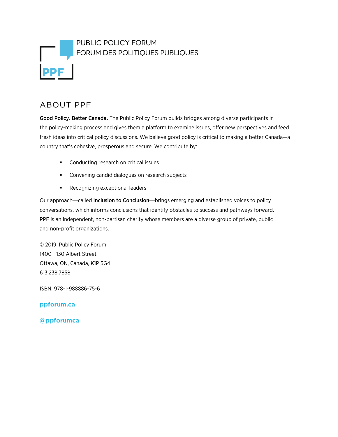

### ABOUT PPF

Good Policy. Better Canada**.** The Public Policy Forum builds bridges among diverse participants in the policy-making process and gives them a platform to examine issues, offer new perspectives and feed fresh ideas into critical policy discussions. We believe good policy is critical to making a better Canada—a country that's cohesive, prosperous and secure. We contribute by:

- **Conducting research on critical issues**
- **EXECONCORRY CONVERTIGE CONVERTIGE** CONVERTING CANDING CONVERTING
- Recognizing exceptional leaders

Our approach—called Inclusion to Conclusion—brings emerging and established voices to policy conversations, which informs conclusions that identify obstacles to success and pathways forward. PPF is an independent, non-partisan charity whose members are a diverse group of private, public and non-profit organizations.

© 2019, Public Policy Forum 1400 - 130 Albert Street Ottawa, ON, Canada, K1P 5G4 613.238.7858

ISBN: 978-1-988886-75-6

**[ppforum.ca](http://www.ppforum.ca/)**

**[@ppforumca](https://twitter.com/ppforumca)**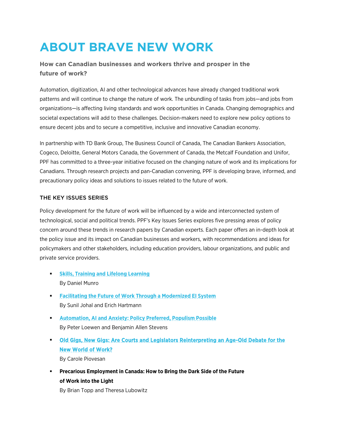# **ABOUT BRAVE NEW WORK**

### **How can Canadian businesses and workers thrive and prosper in the future of work?**

Automation, digitization, AI and other technological advances have already changed traditional work patterns and will continue to change the nature of work. The unbundling of tasks from jobs—and jobs from organizations—is affecting living standards and work opportunities in Canada. Changing demographics and societal expectations will add to these challenges. Decision-makers need to explore new policy options to ensure decent jobs and to secure a competitive, inclusive and innovative Canadian economy.

In partnership with TD Bank Group, The Business Council of Canada, The Canadian Bankers Association, Cogeco, Deloitte, General Motors Canada, the Government of Canada, the Metcalf Foundation and Unifor, PPF has committed to a three-year initiative focused on the changing nature of work and its implications for Canadians. Through research projects and pan-Canadian convening, PPF is developing brave, informed, and precautionary policy ideas and solutions to issues related to the future of work.

#### THE KEY ISSUES SERIES

Policy development for the future of work will be influenced by a wide and interconnected system of technological, social and political trends. PPF's Key Issues Series explores five pressing areas of policy concern around these trends in research papers by Canadian experts. Each paper offers an in-depth look at the policy issue and its impact on Canadian businesses and workers, with recommendations and ideas for policymakers and other stakeholders, including education providers, labour organizations, and public and private service providers.

- **Skills, Training and Lifelong [Learning](https://ppforum.ca/publications/skills-training-and-lifelong-learning/)** By Daniel Munro
- **Facilitating the Future of Work Through a [Modernized](https://ppforum.ca/publications/facilitating-the-future-of-work-through-a-modernized-ei-system/) EI System** By Sunil Johal and Erich Hartmann
- **[Automation,](https://ppforum.ca/publications/automation-ai-anxiety-policy-preferred-populism-possible) AI and Anxiety: Policy Preferred, Populism Possible** By Peter Loewen and Benjamin Allen Stevens
- [Old Gigs, New Gigs: Are Courts and Legislators Reinterpreting an Age-Old Debate for the](https://ppforum.ca/publications/old-gigs-new-gigs-are-courts-and-legislators-reinterpreting-an-age-old-debate-for-the-new-world-of-work/)  [New World of Work?](https://ppforum.ca/publications/old-gigs-new-gigs-are-courts-and-legislators-reinterpreting-an-age-old-debate-for-the-new-world-of-work/) By Carole Piovesan

 **Precarious Employment in Canada: How to Bring the Dark Side of the Future of Work into the Light**

By Brian Topp and Theresa Lubowitz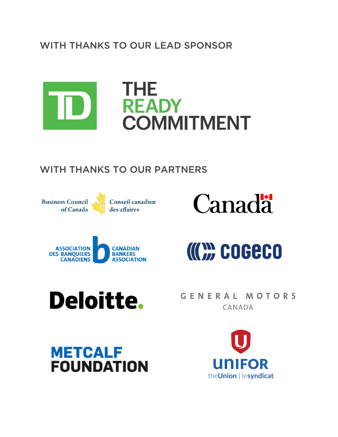## WITH THANKS TO OUR LEAD SPONSOR



## WITH THANKS TO OUR PARTNERS



Conseil canadien des affaires









**GENERAL MOTORS** CANADA



FOR the Union | lesyndicat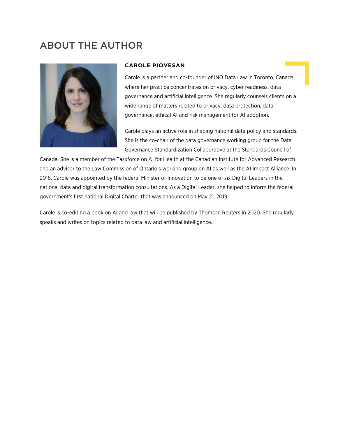## ABOUT THE AUTHOR



### **CAROLE PIOVESAN**

Carole is a partner and co-founder of INQ Data Law in Toronto, Canada, where her practice concentrates on privacy, cyber readiness, data governance and artificial intelligence. She regularly counsels clients on a wide range of matters related to privacy, data protection, data governance, ethical AI and risk management for AI adoption.

Carole plays an active role in shaping national data policy and standards. She is the co-chair of the data governance working group for the Data Governance Standardization Collaborative at the Standards Council of

Canada. She is a member of the Taskforce on AI for Health at the Canadian Institute for Advanced Research and an advisor to the Law Commission of Ontario's working group on AI as well as the AI Impact Alliance. In 2018, Carole was appointed by the federal Minister of Innovation to be one of six Digital Leaders in the national data and digital transformation consultations. As a Digital Leader, she helped to inform the federal government's first national Digital Charter that was announced on May 21, 2019.

Carole is co-editing a book on AI and law that will be published by Thomson Reuters in 2020. She regularly speaks and writes on topics related to data law and artificial intelligence.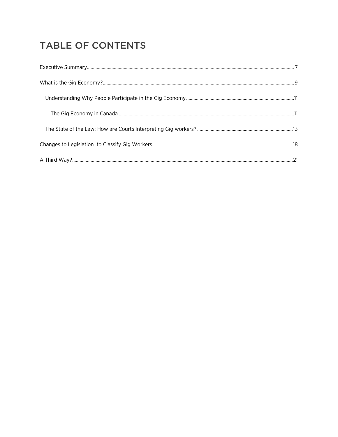## **TABLE OF CONTENTS**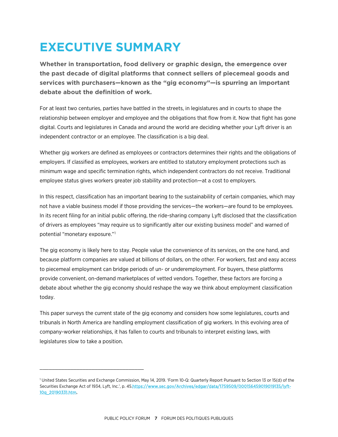# <span id="page-6-0"></span>**EXECUTIVE SUMMARY**

**Whether in transportation, food delivery or graphic design, the emergence over the past decade of digital platforms that connect sellers of piecemeal goods and services with purchasers—known as the "gig economy"—is spurring an important debate about the definition of work.**

For at least two centuries, parties have battled in the streets, in legislatures and in courts to shape the relationship between employer and employee and the obligations that flow from it. Now that fight has gone digital. Courts and legislatures in Canada and around the world are deciding whether your Lyft driver is an independent contractor or an employee. The classification is a big deal.

Whether gig workers are defined as employees or contractors determines their rights and the obligations of employers. If classified as employees, workers are entitled to statutory employment protections such as minimum wage and specific termination rights, which independent contractors do not receive. Traditional employee status gives workers greater job stability and protection—at a cost to employers.

In this respect, classification has an important bearing to the sustainability of certain companies, which may not have a viable business model if those providing the services—the workers—are found to be employees. In its recent filing for an initial public offering, the ride-sharing company Lyft disclosed that the classification of drivers as employees "may require us to significantly alter our existing business model" and warned of potential "monetary exposure."[1](#page-6-1)

The gig economy is likely here to stay. People value the convenience of its services, on the one hand, and because platform companies are valued at billions of dollars, on the other. For workers, fast and easy access to piecemeal employment can bridge periods of un- or underemployment. For buyers, these platforms provide convenient, on-demand marketplaces of vetted vendors. Together, these factors are forcing a debate about whether the gig economy should reshape the way we think about employment classification today.

This paper surveys the current state of the gig economy and considers how some legislatures, courts and tribunals in North America are handling employment classification of gig workers. In this evolving area of company-worker relationships, it has fallen to courts and tribunals to interpret existing laws, with legislatures slow to take a position.

<span id="page-6-1"></span><sup>1</sup> United States Securities and Exchange Commission, May 14, 2019. 'Form 10-Q: Quarterly Report Pursuant to Section 13 or 15(d) of the Securities Exchange Act of 1934, Lyft, Inc.', p. 4[5.https://www.sec.gov/Archives/edgar/data/1759509/000156459019019135/lyft-](https://www.sec.gov/Archives/edgar/data/1759509/000156459019019135/lyft-10q_20190331.htm)[10q\\_20190331.htm.](https://www.sec.gov/Archives/edgar/data/1759509/000156459019019135/lyft-10q_20190331.htm)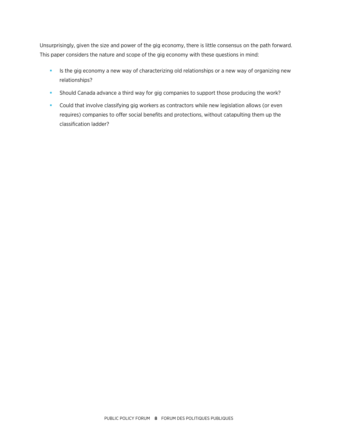Unsurprisingly, given the size and power of the gig economy, there is little consensus on the path forward. This paper considers the nature and scope of the gig economy with these questions in mind:

- Is the gig economy a new way of characterizing old relationships or a new way of organizing new relationships?
- Should Canada advance a third way for gig companies to support those producing the work?
- **Could that involve classifying gig workers as contractors while new legislation allows (or even** requires) companies to offer social benefits and protections, without catapulting them up the classification ladder?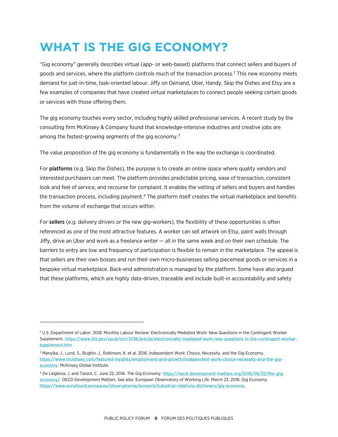# <span id="page-8-0"></span>**WHAT IS THE GIG ECONOMY?**

"Gig economy" generally describes virtual (app- or web-based) platforms that connect sellers and buyers of goods and services, where the platform controls much of the transaction process.[2](#page-8-1) This new economy meets demand for just-in-time, task-oriented labour. Jiffy on Demand, Uber, Handy, Skip the Dishes and Etsy are a few examples of companies that have created virtual marketplaces to connect people seeking certain goods or services with those offering them.

The gig economy touches every sector, including highly skilled professional services. A recent study by the consulting firm McKinsey & Company found that knowledge-intensive industries and creative jobs are among the fastest-growing segments of the gig economy.<sup>[3](#page-8-2)</sup>

The value proposition of the gig economy is fundamentally in the way the exchange is coordinated.

For **platforms** (e.g. Skip the Dishes), the purpose is to create an online space where quality vendors and interested purchasers can meet. The platform provides predictable pricing, ease of transaction, consistent look and feel of service, and recourse for complaint. It enables the vetting of sellers and buyers and handles the transaction process, including payment.[4](#page-8-3) The platform itself creates the virtual marketplace and benefits from the volume of exchange that occurs within.

For sellers (e.g. delivery drivers or the new gig-workers), the flexibility of these opportunities is often referenced as one of the most attractive features. A worker can sell artwork on Etsy, paint walls through Jiffy, drive an Uber and work as a freelance writer — all in the same week and on their own schedule. The barriers to entry are low and frequency of participation is flexible to remain in the marketplace. The appeal is that sellers are their own bosses and run their own micro-businesses selling piecemeal goods or services in a bespoke virtual marketplace. Back-end administration is managed by the platform. Some have also argued that these platforms, which are highly data-driven, traceable and include built-in accountability and safety

<span id="page-8-1"></span><sup>2</sup> U.S. Department of Labor. 2018. Monthly Labour Review: Electronically Mediated Work: New Questions in the Contingent Worker Supplement[. https://www.bls.gov/opub/mlr/2018/article/electronically-mediated-work-new-questions-in-the-contingent-worker](https://www.bls.gov/opub/mlr/2018/article/electronically-mediated-work-new-questions-in-the-contingent-worker-supplement.htm)[supplement.htm](https://www.bls.gov/opub/mlr/2018/article/electronically-mediated-work-new-questions-in-the-contingent-worker-supplement.htm) 

<span id="page-8-2"></span><sup>3</sup> Manyika, J., Lund, S., Bughin, J., Robinson, K. et al. 2016. Independent Work: Choice, Necessity, and the Gig Economy. [https://www.mckinsey.com/featured-insights/employment-and-growth/independent-work-choice-necessity-and-the-gig](https://www.mckinsey.com/featured-insights/employment-and-growth/independent-work-choice-necessity-and-the-gig-economy)[economy.](https://www.mckinsey.com/featured-insights/employment-and-growth/independent-work-choice-necessity-and-the-gig-economy) McKinsey Global Institute.

<span id="page-8-3"></span><sup>&</sup>lt;sup>4</sup> De Laiglesia, J. and Tassot, C. June 22, 2016. The Gig Economy. [https://oecd-development-matters.org/2016/06/22/the-gig](https://oecd-development-matters.org/2016/06/22/the-gig-economy/)[economy/.](https://oecd-development-matters.org/2016/06/22/the-gig-economy/) OECD Development Matters. See also: European Observatory of Working Life. March 23, 2018. Gig Economy. [https://www.eurofound.europa.eu/observatories/eurwork/industrial-relations-dictionary/gig-economy.](https://www.eurofound.europa.eu/observatories/eurwork/industrial-relations-dictionary/gig-economy)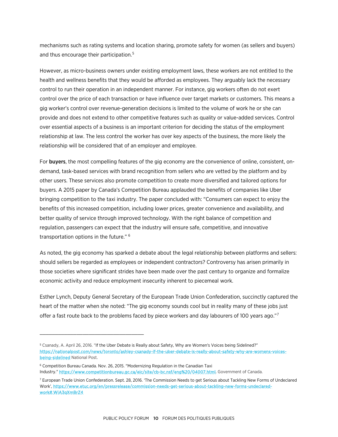mechanisms such as rating systems and location sharing, promote safety for women (as sellers and buyers) and thus encourage their participation.<sup>[5](#page-9-0)</sup>

However, as micro-business owners under existing employment laws, these workers are not entitled to the health and wellness benefits that they would be afforded as employees. They arguably lack the necessary control to run their operation in an independent manner. For instance, gig workers often do not exert control over the price of each transaction or have influence over target markets or customers. This means a gig worker's control over revenue-generation decisions is limited to the volume of work he or she can provide and does not extend to other competitive features such as quality or value-added services. Control over essential aspects of a business is an important criterion for deciding the status of the employment relationship at law. The less control the worker has over key aspects of the business, the more likely the relationship will be considered that of an employer and employee.

For buyers, the most compelling features of the gig economy are the convenience of online, consistent, ondemand, task-based services with brand recognition from sellers who are vetted by the platform and by other users. These services also promote competition to create more diversified and tailored options for buyers. A 2015 paper by Canada's Competition Bureau applauded the benefits of companies like Uber bringing competition to the taxi industry. The paper concluded with: "Consumers can expect to enjoy the benefits of this increased competition, including lower prices, greater convenience and availability, and better quality of service through improved technology. With the right balance of competition and regulation, passengers can expect that the industry will ensure safe, competitive, and innovative transportation options in the future." [6](#page-9-1)

As noted, the gig economy has sparked a debate about the legal relationship between platforms and sellers: should sellers be regarded as employees or independent contractors? Controversy has arisen primarily in those societies where significant strides have been made over the past century to organize and formalize economic activity and reduce employment insecurity inherent to piecemeal work.

Esther Lynch, Deputy General Secretary of the European Trade Union Confederation, succinctly captured the heart of the matter when she noted: "The gig economy sounds cool but in reality many of these jobs just offer a fast route back to the problems faced by piece workers and day labourers of 100 years ago."[7](#page-9-2)

<span id="page-9-0"></span><sup>5</sup> Csanady, A. April 26, 2016. "If the Uber Debate is Really about Safety, Why are Women's Voices being Sidelined?" [https://nationalpost.com/news/toronto/ashley-csanady-if-the-uber-debate-is-really-about-safety-why-are-womens-voices](https://nationalpost.com/news/toronto/ashley-csanady-if-the-uber-debate-is-really-about-safety-why-are-womens-voices-being-sidelined)[being-sidelined](https://nationalpost.com/news/toronto/ashley-csanady-if-the-uber-debate-is-really-about-safety-why-are-womens-voices-being-sidelined) National Post.

<span id="page-9-1"></span><sup>6</sup> Competition Bureau Canada. Nov. 26, 2015. "Modernizing Regulation in the Canadian Taxi Industry." [https://www.competitionbureau.gc.ca/eic/site/cb-bc.nsf/eng%20/04007.html.](https://www.competitionbureau.gc.ca/eic/site/cb-bc.nsf/eng%20/04007.html) Government of Canada.

<span id="page-9-2"></span><sup>7</sup> European Trade Union Confederation. Sept. 28, 2016. 'The Commission Needs to get Serious about Tackling New Forms of Undeclared Work'[, https://www.etuc.org/en/pressrelease/commission-needs-get-serious-about-tackling-new-forms-undeclared](https://www.etuc.org/en/pressrelease/commission-needs-get-serious-about-tackling-new-forms-undeclared-work#.WiA3qXmBrZ4)[work#.WiA3qXmBrZ4](https://www.etuc.org/en/pressrelease/commission-needs-get-serious-about-tackling-new-forms-undeclared-work#.WiA3qXmBrZ4)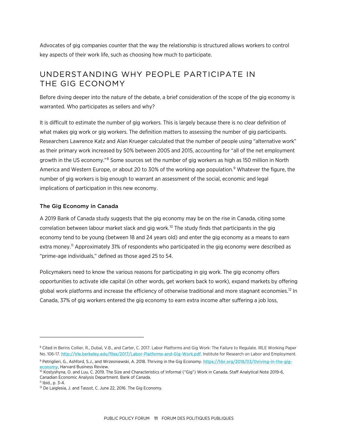Advocates of gig companies counter that the way the relationship is structured allows workers to control key aspects of their work life, such as choosing how much to participate.

### <span id="page-10-0"></span>UNDERSTANDING WHY PEOPLE PARTICIPATE IN THE GIG ECONOMY

Before diving deeper into the nature of the debate, a brief consideration of the scope of the gig economy is warranted. Who participates as sellers and why?

It is difficult to estimate the number of gig workers. This is largely because there is no clear definition of what makes gig work or gig workers. The definition matters to assessing the number of gig participants. Researchers Lawrence Katz and Alan Krueger calculated that the number of people using "alternative work" as their primary work increased by 50% between 2005 and 2015, accounting for "all of the net employment growth in the US economy."<sup>[8](#page-10-2)</sup> Some sources set the number of gig workers as high as 150 million in North America and Western Europe, or about 20 to 30% of the working age population.<sup>[9](#page-10-3)</sup> Whatever the figure, the number of gig workers is big enough to warrant an assessment of the social, economic and legal implications of participation in this new economy.

#### <span id="page-10-1"></span>The Gig Economy in Canada

A 2019 Bank of Canada study suggests that the gig economy may be on the rise in Canada, citing some correlation between labour market slack and gig work.<sup>[10](#page-10-4)</sup> The study finds that participants in the gig economy tend to be young (between 18 and 24 years old) and enter the gig economy as a means to earn extra money.<sup>[11](#page-10-5)</sup> Approximately 31% of respondents who participated in the gig economy were described as "prime-age individuals," defined as those aged 25 to 54.

Policymakers need to know the various reasons for participating in gig work. The gig economy offers opportunities to activate idle capital (in other words, get workers back to work), expand markets by offering global work platforms and increase the efficiency of otherwise traditional and more stagnant economies.<sup>[12](#page-10-6)</sup> In Canada, 37% of gig workers entered the gig economy to earn extra income after suffering a job loss,

<span id="page-10-2"></span><sup>&</sup>lt;sup>8</sup> Cited in Berins Collier, R., Dubal, V.B., and Carter, C. 2017. Labor Platforms and Gig Work: The Failure to Regulate. IRLE Working Paper No. 106-17[. http://irle.berkeley.edu/files/2017/Labor-Platforms-and-Gig-Work.pdf.](http://irle.berkeley.edu/files/2017/Labor-Platforms-and-Gig-Work.pdf) Institute for Research on Labor and Employment.

<span id="page-10-3"></span><sup>9</sup> Petriglieri, G., Ashford, S.J., and Wrzesniewski, A. 2018. Thriving in the Gig Economy[. https://hbr.org/2018/03/thriving-in-the-gig](https://hbr.org/2018/03/thriving-in-the-gig-economy)[economy.](https://hbr.org/2018/03/thriving-in-the-gig-economy) Harvard Business Review.<br><sup>10</sup> Kostyshyna, O. and Luu, C. 2019. The Size and Characteristics of Informal ("Gig") Work in Canada. Staff Analytical Note 2019-6,

<span id="page-10-4"></span>Canadian Economic Analysis Department. Bank of Canada.

<span id="page-10-6"></span><span id="page-10-5"></span> $11$  Ibid., p. 3-4.<br> $12$  De Laiglesia, J. and Tassot, C. June 22, 2016. The Gig Economy.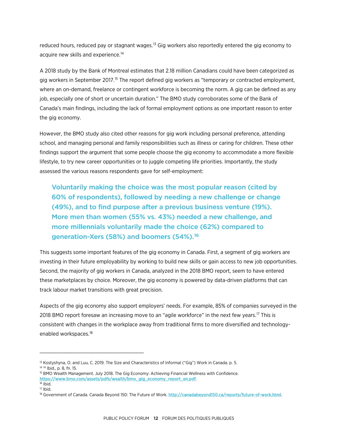reduced hours, reduced pay or stagnant wages.<sup>[13](#page-11-0)</sup> Gig workers also reportedly entered the gig economy to acquire new skills and experience.<sup>[14](#page-11-1)</sup>

A 2018 study by the Bank of Montreal estimates that 2.18 million Canadians could have been categorized as gig workers in September 2017.<sup>[15](#page-11-2)</sup> The report defined gig workers as "temporary or contracted employment, where an on-demand, freelance or contingent workforce is becoming the norm. A gig can be defined as any job, especially one of short or uncertain duration." The BMO study corroborates some of the Bank of Canada's main findings, including the lack of formal employment options as one important reason to enter the gig economy.

However, the BMO study also cited other reasons for gig work including personal preference, attending school, and managing personal and family responsibilities such as illness or caring for children. These other findings support the argument that some people choose the gig economy to accommodate a more flexible lifestyle, to try new career opportunities or to juggle competing life priorities. Importantly, the study assessed the various reasons respondents gave for self-employment:

Voluntarily making the choice was the most popular reason (cited by 60% of respondents), followed by needing a new challenge or change (49%), and to find purpose after a previous business venture (19%). More men than women (55% vs. 43%) needed a new challenge, and more millennials voluntarily made the choice (62%) compared to generation-Xers (58%) and boomers (54%).<sup>[16](#page-11-3)</sup>

This suggests some important features of the gig economy in Canada. First, a segment of gig workers are investing in their future employability by working to build new skills or gain access to new job opportunities. Second, the majority of gig workers in Canada, analyzed in the 2018 BMO report, seem to have entered these marketplaces by choice. Moreover, the gig economy is powered by data-driven platforms that can track labour market transitions with great precision.

Aspects of the gig economy also support employers' needs. For example, 85% of companies surveyed in the 2018 BMO report foresaw an increasing move to an "agile workforce" in the next few years.<sup>[17](#page-11-4)</sup> This is consistent with changes in the workplace away from traditional firms to more diversified and technology-enabled workspaces.<sup>[18](#page-11-5)</sup>

<span id="page-11-1"></span><span id="page-11-0"></span><sup>&</sup>lt;sup>13</sup> Kostyshyna, O. and Luu, C. 2019. The Size and Characteristics of Informal ("Gig") Work in Canada. p. 5. 14 <sup>14</sup> Ibid., p. 8, fn. 15.

<span id="page-11-2"></span><sup>15</sup> BMO Wealth Management. July 2018. The Gig Economy: Achieving Financial Wellness with Confidence. [https://www.bmo.com/assets/pdfs/wealth/bmo\\_gig\\_economy\\_report\\_en.pdf.](https://www.bmo.com/assets/pdfs/wealth/bmo_gig_economy_report_en.pdf)  $16$  Ibid.

<span id="page-11-4"></span><span id="page-11-3"></span><sup>17</sup> Ibid.

<span id="page-11-5"></span><sup>18</sup> Government of Canada. Canada Beyond 150: The Future of Work[. http://canadabeyond150.ca/reports/future-of-work.html.](http://canadabeyond150.ca/reports/future-of-work.html)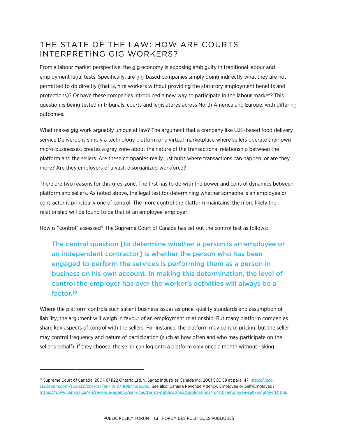## <span id="page-12-0"></span>THE STATE OF THE LAW: HOW ARE COURTS INTERPRETING GIG WORKERS?

From a labour market perspective, the gig economy is exposing ambiguity in traditional labour and employment legal tests. Specifically, are gig-based companies simply doing indirectly what they are not permitted to do directly (that is, hire workers without providing the statutory employment benefits and protections)? Or have these companies introduced a new way to participate in the labour market? This question is being tested in tribunals, courts and legislatures across North America and Europe, with differing outcomes.

What makes gig work arguably unique at law? The argument that a company like U.K.-based food delivery service Deliveroo is simply a technology platform or a virtual marketplace where sellers operate their own micro-businesses, creates a grey zone about the nature of the transactional relationship between the platform and the sellers. Are these companies really just hubs where transactions can happen, or are they more? Are they employers of a vast, disorganized workforce?

There are two reasons for this grey zone. The first has to do with the power and control dynamics between platform and sellers. As noted above, the legal test for determining whether someone is an employee or contractor is principally one of control. The more control the platform maintains, the more likely the relationship will be found to be that of an employee-employer.

How is "control" assessed? The Supreme Court of Canada has set out the control test as follows:

The central question [to determine whether a person is an employee or an independent contractor] is whether the person who has been engaged to perform the services is performing them as a person in business on his own account. In making this determination, the level of control the employer has over the worker's activities will always be a factor.[19](#page-12-1)

Where the platform controls such salient business issues as price, quality standards and assumption of liability, the argument will weigh in favour of an employment relationship. But many platform companies share key aspects of control with the sellers. For instance, the platform may control pricing, but the seller may control frequency and nature of participation (such as how often and who may participate on the seller's behalf). If they choose, the seller can log onto a platform only once a month without risking

<span id="page-12-1"></span><sup>&</sup>lt;sup>19</sup> Supreme Court of Canada. 2001. 671122 Ontario Ltd. v. Sagaz Industries Canada Inc. 2001 SCC 59 at para. 47[. https://scc](https://scc-csc.lexum.com/scc-csc/scc-csc/en/item/1898/index.do)[csc.lexum.com/scc-csc/scc-csc/en/item/1898/index.do.](https://scc-csc.lexum.com/scc-csc/scc-csc/en/item/1898/index.do) See also: Canada Revenue Agency. Employee or Self-Employed? [https://www.canada.ca/en/revenue-agency/services/forms-publications/publications/rc4110/employee-self-employed.html.](https://www.canada.ca/en/revenue-agency/services/forms-publications/publications/rc4110/employee-self-employed.html)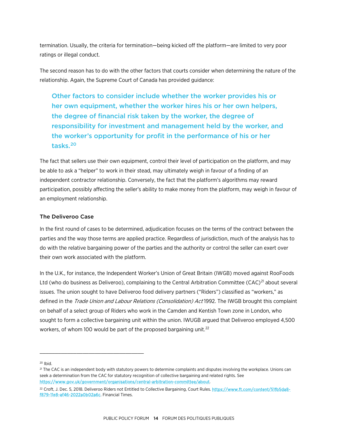termination. Usually, the criteria for termination—being kicked off the platform—are limited to very poor ratings or illegal conduct.

The second reason has to do with the other factors that courts consider when determining the nature of the relationship. Again, the Supreme Court of Canada has provided guidance:

Other factors to consider include whether the worker provides his or her own equipment, whether the worker hires his or her own helpers, the degree of financial risk taken by the worker, the degree of responsibility for investment and management held by the worker, and the worker's opportunity for profit in the performance of his or her tasks.[20](#page-13-0)

The fact that sellers use their own equipment, control their level of participation on the platform, and may be able to ask a "helper" to work in their stead, may ultimately weigh in favour of a finding of an independent contractor relationship. Conversely, the fact that the platform's algorithms may reward participation, possibly affecting the seller's ability to make money from the platform, may weigh in favour of an employment relationship.

#### The Deliveroo Case

In the first round of cases to be determined, adjudication focuses on the terms of the contract between the parties and the way those terms are applied practice. Regardless of jurisdiction, much of the analysis has to do with the relative bargaining power of the parties and the authority or control the seller can exert over their own work associated with the platform.

In the U.K., for instance, the Independent Worker's Union of Great Britain (IWGB) moved against RooFoods Ltd (who do business as Deliveroo), complaining to the Central Arbitration Committee (CAC)<sup>[21](#page-13-1)</sup> about several issues. The union sought to have Deliveroo food delivery partners ("Riders") classified as "workers," as defined in the *Trade Union and Labour Relations (Consolidation) Act* 1992. The IWGB brought this complaint on behalf of a select group of Riders who work in the Camden and Kentish Town zone in London, who sought to form a collective bargaining unit within the union. IWUGB argued that Deliveroo employed 4,500 workers, of whom 100 would be part of the proposed bargaining unit.<sup>[22](#page-13-2)</sup>

<span id="page-13-0"></span><sup>20</sup> Ibid.

<span id="page-13-1"></span><sup>&</sup>lt;sup>21</sup> The CAC is an independent body with statutory powers to determine complaints and disputes involving the workplace. Unions can seek a determination from the CAC for statutory recognition of collective bargaining and related rights. See [https://www.gov.uk/government/organisations/central-arbitration-committee/about.](https://www.gov.uk/government/organisations/central-arbitration-committee/about)

<span id="page-13-2"></span><sup>&</sup>lt;sup>22</sup> Croft, J. Dec. 5, 2018. Deliveroo Riders not Entitled to Collective Bargaining, Court Rules[. https://www.ft.com/content/51fb5da8](https://www.ft.com/content/51fb5da8-f879-11e8-af46-2022a0b02a6c) [f879-11e8-af46-2022a0b02a6c.](https://www.ft.com/content/51fb5da8-f879-11e8-af46-2022a0b02a6c) Financial Times.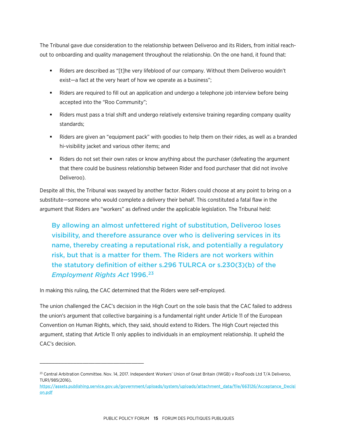The Tribunal gave due consideration to the relationship between Deliveroo and its Riders, from initial reachout to onboarding and quality management throughout the relationship. On the one hand, it found that:

- Riders are described as "[t]he very lifeblood of our company. Without them Deliveroo wouldn't exist—a fact at the very heart of how we operate as a business";
- **EXECT** Riders are required to fill out an application and undergo a telephone job interview before being accepted into the "Roo Community";
- **EXTENUTION THE INTERT FOR THE STARK IS A THE STARK IN A STARK IS A** Figure 1 and the state of pailty quality standards;
- Riders are given an "equipment pack" with goodies to help them on their rides, as well as a branded hi-visibility jacket and various other items; and
- Riders do not set their own rates or know anything about the purchaser (defeating the argument that there could be business relationship between Rider and food purchaser that did not involve Deliveroo).

Despite all this, the Tribunal was swayed by another factor. Riders could choose at any point to bring on a substitute—someone who would complete a delivery their behalf. This constituted a fatal flaw in the argument that Riders are "workers" as defined under the applicable legislation. The Tribunal held:

By allowing an almost unfettered right of substitution, Deliveroo loses visibility, and therefore assurance over who is delivering services in its name, thereby creating a reputational risk, and potentially a regulatory risk, but that is a matter for them. The Riders are not workers within the statutory definition of either s.296 TULRCA or s.230(3)(b) of the *Employment Rights Act* 1996.[23](#page-14-0)

In making this ruling, the CAC determined that the Riders were self-employed.

\_\_\_\_\_\_\_\_\_\_\_\_\_\_\_\_\_\_\_\_\_\_\_\_\_\_\_\_\_\_\_\_\_\_

The union challenged the CAC's decision in the High Court on the sole basis that the CAC failed to address the union's argument that collective bargaining is a fundamental right under Article 11 of the European Convention on Human Rights, which, they said, should extend to Riders. The High Court rejected this argument, stating that Article 11 only applies to individuals in an employment relationship. It upheld the CAC's decision.

<span id="page-14-0"></span><sup>&</sup>lt;sup>23</sup> Central Arbitration Committee. Nov. 14, 2017. Independent Workers' Union of Great Britain (IWGB) v RooFoods Ltd T/A Deliveroo, TUR1/985(2016).

[https://assets.publishing.service.gov.uk/government/uploads/system/uploads/attachment\\_data/file/663126/Acceptance\\_Decisi](https://assets.publishing.service.gov.uk/government/uploads/system/uploads/attachment_data/file/663126/Acceptance_Decision.pdf) [on.pdf](https://assets.publishing.service.gov.uk/government/uploads/system/uploads/attachment_data/file/663126/Acceptance_Decision.pdf)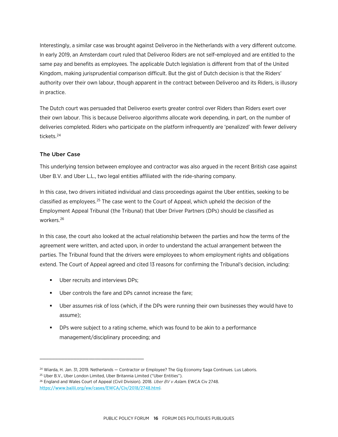Interestingly, a similar case was brought against Deliveroo in the Netherlands with a very different outcome. In early 2019, an Amsterdam court ruled that Deliveroo Riders are not self-employed and are entitled to the same pay and benefits as employees. The applicable Dutch legislation is different from that of the United Kingdom, making jurisprudential comparison difficult. But the gist of Dutch decision is that the Riders' authority over their own labour, though apparent in the contract between Deliveroo and its Riders, is illusory in practice.

The Dutch court was persuaded that Deliveroo exerts greater control over Riders than Riders exert over their own labour. This is because Deliveroo algorithms allocate work depending, in part, on the number of deliveries completed. Riders who participate on the platform infrequently are 'penalized' with fewer delivery tickets.[24](#page-15-0)

#### The Uber Case

This underlying tension between employee and contractor was also argued in the recent British case against Uber B.V. and Uber L.L., two legal entities affiliated with the ride-sharing company.

In this case, two drivers initiated individual and class proceedings against the Uber entities, seeking to be classified as employees.[25](#page-15-1) The case went to the Court of Appeal, which upheld the decision of the Employment Appeal Tribunal (the Tribunal) that Uber Driver Partners (DPs) should be classified as workers.[26](#page-15-2)

In this case, the court also looked at the actual relationship between the parties and how the terms of the agreement were written, and acted upon, in order to understand the actual arrangement between the parties. The Tribunal found that the drivers were employees to whom employment rights and obligations extend. The Court of Appeal agreed and cited 13 reasons for confirming the Tribunal's decision, including:

**Uber recruits and interviews DPs;** 

- Uber controls the fare and DPs cannot increase the fare;
- Uber assumes risk of loss (which, if the DPs were running their own businesses they would have to assume);
- **DPs were subject to a rating scheme, which was found to be akin to a performance** management/disciplinary proceeding; and

<span id="page-15-0"></span><sup>&</sup>lt;sup>24</sup> Wiarda, H. Jan. 31, 2019. Netherlands — Contractor or Employee? The Gig Economy Saga Continues. Lus Laboris.

<span id="page-15-1"></span><sup>25</sup> Uber B.V., Uber London Limited, Uber Britannia Limited ("Uber Entities").

<span id="page-15-2"></span><sup>&</sup>lt;sup>26</sup> England and Wales Court of Appeal (Civil Division). 2018. *Uber BV v Aslam*. EWCA Civ 2748. [https://www.bailii.org/ew/cases/EWCA/Civ/2018/2748.html.](https://www.bailii.org/ew/cases/EWCA/Civ/2018/2748.html)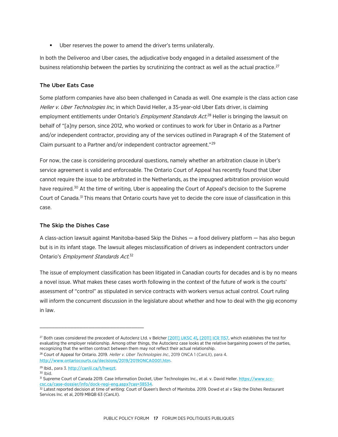Uber reserves the power to amend the driver's terms unilaterally.

In both the Deliveroo and Uber cases, the adjudicative body engaged in a detailed assessment of the business relationship between the parties by scrutinizing the contract as well as the actual practice.<sup>[27](#page-16-0)</sup>

#### The Uber Eats Case

Some platform companies have also been challenged in Canada as well. One example is the class action case Heller v. Uber Technologies Inc, in which David Heller, a 35-year-old Uber Eats driver, is claiming employment entitlements under Ontario's *Employment Standards Act.*<sup>[28](#page-16-1)</sup> Heller is bringing the lawsuit on behalf of "[a]ny person, since 2012, who worked or continues to work for Uber in Ontario as a Partner and/or independent contractor, providing any of the services outlined in Paragraph 4 of the Statement of Claim pursuant to a Partner and/or independent contractor agreement."[29](#page-16-2)

For now, the case is considering procedural questions, namely whether an arbitration clause in Uber's service agreement is valid and enforceable. The Ontario Court of Appeal has recently found that Uber cannot require the issue to be arbitrated in the Netherlands, as the impugned arbitration provision would have required.<sup>[30](#page-16-3)</sup> At the time of writing, Uber is appealing the Court of Appeal's decision to the Supreme Court of Canada.[31](#page-16-4) This means that Ontario courts have yet to decide the core issue of classification in this case.

#### The Skip the Dishes Case

A class-action lawsuit against Manitoba-based Skip the Dishes — a food delivery platform — has also begun but is in its infant stage. The lawsuit alleges misclassification of drivers as independent contractors under Ontario's *Employment Standards Act.*<sup>32</sup>

The issue of employment classification has been litigated in Canadian courts for decades and is by no means a novel issue. What makes these cases worth following in the context of the future of work is the courts' assessment of "control" as stipulated in service contracts with workers versus actual control. Court ruling will inform the concurrent discussion in the legislature about whether and how to deal with the gig economy in law.

<span id="page-16-1"></span><sup>28</sup> Court of Appeal for Ontario. 2019. Heller v. Uber Technologies Inc., 2019 ONCA 1 (CanLII), para 4.

<span id="page-16-0"></span><sup>&</sup>lt;sup>27</sup> Both cases considered the precedent of Autoclenz Ltd. v Belcher [\[2011\] UKSC 41,](https://www.bailii.org/uk/cases/UKSC/2011/41.html) [\[2011\] ICR 1157](https://www.bailii.org/cgi-bin/redirect.cgi?path=/uk/cases/UKSC/2011/41.html), which establishes the test for evaluating the employer relationship. Among other things, the Autoclenz case looks at the relative bargaining powers of the parties, recognizing that the written contract between them may not reflect their actual relationship.

[http://www.ontariocourts.ca/decisions/2019/2019ONCA0001.htm.](http://www.ontariocourts.ca/decisions/2019/2019ONCA0001.htm) 

<span id="page-16-2"></span><sup>&</sup>lt;sup>29</sup> Ibid., para 3[. http://canlii.ca/t/hwqzt.](http://canlii.ca/t/hwqzt)

<span id="page-16-3"></span><sup>30</sup> Ibid.

<span id="page-16-4"></span><sup>31</sup> Supreme Court of Canada 2019. Case Information Docket, Uber Technologies Inc., et al. v. David Heller. [https://www.scc-](https://www.scc-csc.ca/case-dossier/info/dock-regi-eng.aspx?cas=38534)

<span id="page-16-5"></span>csc.ca/case-dossier/info/dock-regi-eng.aspx?cas=38534.<br><sup>32</sup> Latest reported decision at time of writing: Court of Queen's Bench of Manitoba. 2019. Dowd et al v Skip the Dishes Restaurant Services Inc. et al, 2019 MBQB 63 (CanLII).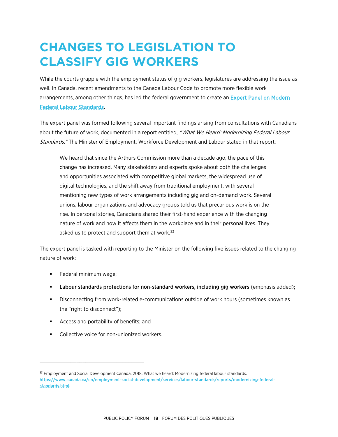## <span id="page-17-0"></span>**CHANGES TO LEGISLATION TO CLASSIFY GIG WORKERS**

While the courts grapple with the employment status of gig workers, legislatures are addressing the issue as well. In Canada, recent amendments to the Canada Labour Code to promote more flexible work arrangements, among other things, has led the federal government to create an **Expert Panel on Modern** [Federal Labour Standards.](https://www.canada.ca/en/employment-social-development/campaigns/expert-panel-labour-standards.html)

The expert panel was formed following several important findings arising from consultations with Canadians about the future of work, documented in a report entitled, "What We Heard: Modernizing Federal Labour Standards." The Minister of Employment, Workforce Development and Labour stated in that report:

We heard that since the Arthurs Commission more than a decade ago, the pace of this change has increased. Many stakeholders and experts spoke about both the challenges and opportunities associated with competitive global markets, the widespread use of digital technologies, and the shift away from traditional employment, with several mentioning new types of work arrangements including gig and on-demand work. Several unions, labour organizations and advocacy groups told us that precarious work is on the rise. In personal stories, Canadians shared their first-hand experience with the changing nature of work and how it affects them in the workplace and in their personal lives. They asked us to protect and support them at work.<sup>[33](#page-17-1)</sup>

The expert panel is tasked with reporting to the Minister on the following five issues related to the changing nature of work:

- **Federal minimum wage;**
- **EXECT Labour standards protections for non-standard workers, including gig workers** (emphasis added);
- Disconnecting from work-related e-communications outside of work hours (sometimes known as the "right to disconnect");
- **Access and portability of benefits; and**

\_\_\_\_\_\_\_\_\_\_\_\_\_\_\_\_\_\_\_\_\_\_\_\_\_\_\_\_\_\_\_\_\_\_

**Collective voice for non-unionized workers.** 

<span id="page-17-1"></span><sup>&</sup>lt;sup>33</sup> Employment and Social Development Canada. 2018. What we heard: Modernizing federal labour standards. [https://www.canada.ca/en/employment-social-development/services/labour-standards/reports/modernizing-federal](https://www.canada.ca/en/employment-social-development/services/labour-standards/reports/modernizing-federal-standards.html)[standards.html.](https://www.canada.ca/en/employment-social-development/services/labour-standards/reports/modernizing-federal-standards.html)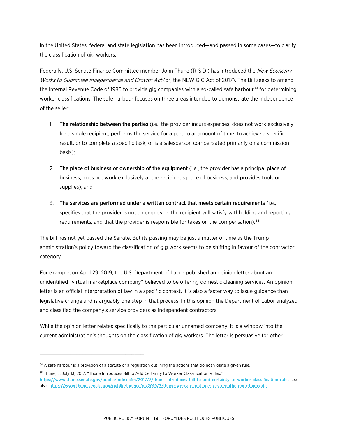In the United States, federal and state legislation has been introduced—and passed in some cases—to clarify the classification of gig workers.

Federally, U.S. Senate Finance Committee member John Thune (R-S.D.) has introduced the *New Economy* Works to Guarantee Independence and Growth Act (or, the NEW GIG Act of 2017). The Bill seeks to amend the Internal Revenue Code of 1986 to provide gig companies with a so-called safe harbour<sup>[34](#page-18-0)</sup> for determining worker classifications. The safe harbour focuses on three areas intended to demonstrate the independence of the seller:

- 1. The relationship between the parties (i.e., the provider incurs expenses; does not work exclusively for a single recipient; performs the service for a particular amount of time, to achieve a specific result, or to complete a specific task; or is a salesperson compensated primarily on a commission basis);
- 2. The place of business or ownership of the equipment (i.e., the provider has a principal place of business, does not work exclusively at the recipient's place of business, and provides tools or supplies); and
- 3. The services are performed under a written contract that meets certain requirements (i.e., specifies that the provider is not an employee, the recipient will satisfy withholding and reporting requirements, and that the provider is responsible for taxes on the compensation).  $35$

The bill has not yet passed the Senate. But its passing may be just a matter of time as the Trump administration's policy toward the classification of gig work seems to be shifting in favour of the contractor category.

For example, on April 29, 2019, the U.S. Department of Labor published an opinion letter about an unidentified "virtual marketplace company" believed to be offering domestic cleaning services. An opinion letter is an official interpretation of law in a specific context. It is also a faster way to issue guidance than legislative change and is arguably one step in that process. In this opinion the Department of Labor analyzed and classified the company's service providers as independent contractors.

While the opinion letter relates specifically to the particular unnamed company, it is a window into the current administration's thoughts on the classification of gig workers. The letter is persuasive for other

\_\_\_\_\_\_\_\_\_\_\_\_\_\_\_\_\_\_\_\_\_\_\_\_\_\_\_\_\_\_\_\_\_\_

<span id="page-18-1"></span><sup>35</sup> Thune, J. July 13, 2017. "Thune Introduces Bill to Add Certainty to Worker Classification Rules." <https://www.thune.senate.gov/public/index.cfm/2017/7/thune-introduces-bill-to-add-certainty-to-worker-classification-rules> see also[: https://www.thune.senate.gov/public/index.cfm/2019/7/thune-we-can-continue-to-strengthen-our-tax-code.](https://www.thune.senate.gov/public/index.cfm/2019/7/thune-we-can-continue-to-strengthen-our-tax-code)

<span id="page-18-0"></span> $34$  A safe harbour is a provision of a statute or a regulation outlining the actions that do not violate a given rule.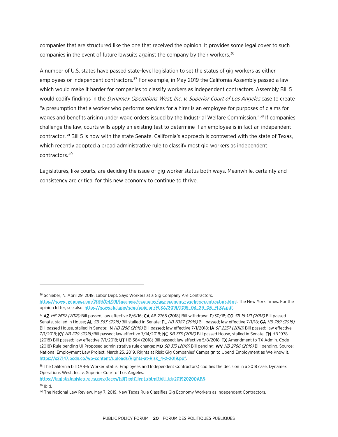companies that are structured like the one that received the opinion. It provides some legal cover to such companies in the event of future lawsuits against the company by their workers. $36$ 

A number of U.S. states have passed state-level legislation to set the status of gig workers as either employees or independent contractors.<sup>[37](#page-19-1)</sup> For example, in May 2019 the California Assembly passed a law which would make it harder for companies to classify workers as independent contractors. Assembly Bill 5 would codify findings in the *Dynamex Operations West, Inc. v. Superior Court of Los Angeles* case to create "a presumption that a worker who performs services for a hirer is an employee for purposes of claims for wages and benefits arising under wage orders issued by the Industrial Welfare Commission."<sup>[38](#page-19-2)</sup> If companies challenge the law, courts wills apply an existing test to determine if an employee is in fact an independent contractor. [39](#page-19-3) Bill 5 is now with the state Senate. California's approach is contrasted with the state of Texas, which recently adopted a broad administrative rule to classify most gig workers as independent contractors.[40](#page-19-4)

Legislatures, like courts, are deciding the issue of gig worker status both ways. Meanwhile, certainty and consistency are critical for this new economy to continue to thrive.

[https://leginfo.legislature.ca.gov/faces/billTextClient.xhtml?bill\\_id=201920200AB5.](https://leginfo.legislature.ca.gov/faces/billTextClient.xhtml?bill_id=201920200AB5) 

\_\_\_\_\_\_\_\_\_\_\_\_\_\_\_\_\_\_\_\_\_\_\_\_\_\_\_\_\_\_\_\_\_\_

<span id="page-19-4"></span><span id="page-19-3"></span><sup>39</sup> Ibid.

<span id="page-19-0"></span><sup>&</sup>lt;sup>36</sup> Schieber, N. April 29, 2019. Labor Dept. Says Workers at a Gig Company Are Contractors. [https://www.nytimes.com/2019/04/29/business/economy/gig-economy-workers-contractors.html.](https://www.nytimes.com/2019/04/29/business/economy/gig-economy-workers-contractors.html) The New York Times. For the opinion letter, see also: [https://www.dol.gov/whd/opinion/FLSA/2019/2019\\_04\\_29\\_06\\_FLSA.pdf.](https://www.dol.gov/whd/opinion/FLSA/2019/2019_04_29_06_FLSA.pdf)

<span id="page-19-1"></span><sup>37</sup> AZ HB 2652 (2016) Bill passed; law effective 8/6/16; CA AB 2765 (2018) Bill withdrawn 11/30/18; CO SB 18-171 (2018) Bill passed Senate, stalled in House; AL SB 363 (2018) Bill stalled in Senate; FL HB 7087 (2018) Bill passed; law effective 7/1/18; GA HB 789 (2018) Bill passed House, stalled in Senate; IN HB 1286 (2018) Bill passed; law effective 7/1/2018; IA SF 2257 (2018) Bill passed; law effective 7/1/2018; KY HB 220 (2018) Bill passed; law effective 7/14/2018; NC SB 735 (2018) Bill passed House, stalled in Senate; TN HB 1978 (2018) Bill passed; law effective 7/1/2018; UT HB 364 (2018) Bill passed; law effective 5/8/2018; TX Amendment to TX Admin. Code (2018) Rule pending UI Proposed administrative rule change; MO SB 313 (2019) Bill pending; WV HB 2786 (2019) Bill pending. Source: National Employment Law Project. March 25, 2019. Rights at Risk: Gig Companies' Campaign to Upend Employment as We Know It. [https://s27147.pcdn.co/wp-content/uploads/Rights-at-Risk\\_4-2-2019.pdf.](https://s27147.pcdn.co/wp-content/uploads/Rights-at-Risk_4-2-2019.pdf) 

<span id="page-19-2"></span><sup>&</sup>lt;sup>38</sup> The California bill (AB-5 Worker Status: Employees and Independent Contractors) codifies the decision in a 2018 case, Dynamex Operations West, Inc. v. Superior Court of Los Angeles.

<sup>40</sup> The National Law Review. May 7, 2019. New Texas Rule Classifies Gig Economy Workers as Independent Contractors.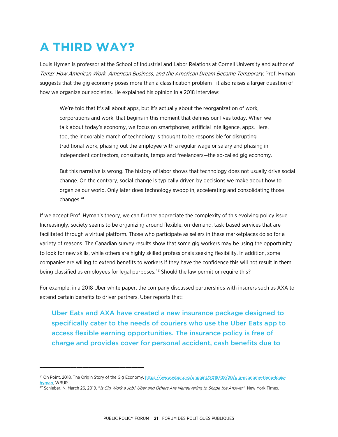## <span id="page-20-0"></span>**A THIRD WAY?**

\_\_\_\_\_\_\_\_\_\_\_\_\_\_\_\_\_\_\_\_\_\_\_\_\_\_\_\_\_\_\_\_\_\_

Louis Hyman is professor at the School of Industrial and Labor Relations at Cornell University and author of Temp: How American Work, American Business, and the American Dream Became Temporary. Prof. Hyman suggests that the gig economy poses more than a classification problem—it also raises a larger question of how we organize our societies. He explained his opinion in a 2018 interview:

We're told that it's all about apps, but it's actually about the reorganization of work, corporations and work, that begins in this moment that defines our lives today. When we talk about today's economy, we focus on smartphones, artificial intelligence, apps. Here, too, the inexorable march of technology is thought to be responsible for disrupting traditional work, phasing out the employee with a regular wage or salary and phasing in independent contractors, consultants, temps and freelancers—the so-called gig economy.

But this narrative is wrong. The history of labor shows that technology does not usually drive social change. On the contrary, social change is typically driven by decisions we make about how to organize our world. Only later does technology swoop in, accelerating and consolidating those changes.<sup>[41](#page-20-1)</sup>

If we accept Prof. Hyman's theory, we can further appreciate the complexity of this evolving policy issue. Increasingly, society seems to be organizing around flexible, on-demand, task-based services that are facilitated through a virtual platform. Those who participate as sellers in these marketplaces do so for a variety of reasons. The Canadian survey results show that some gig workers may be using the opportunity to look for new skills, while others are highly skilled professionals seeking flexibility. In addition, some companies are willing to extend benefits to workers if they have the confidence this will not result in them being classified as employees for legal purposes.<sup>[42](#page-20-2)</sup> Should the law permit or require this?

For example, in a 2018 Uber white paper, the company discussed partnerships with insurers such as AXA to extend certain benefits to driver partners. Uber reports that:

Uber Eats and AXA have created a new insurance package designed to specifically cater to the needs of couriers who use the Uber Eats app to access flexible earning opportunities. The insurance policy is free of charge and provides cover for personal accident, cash benefits due to

<span id="page-20-1"></span><sup>41</sup> On Point. 2018. The Origin Story of the Gig Economy. [https://www.wbur.org/onpoint/2018/08/20/gig-economy-temp-louis](https://www.wbur.org/onpoint/2018/08/20/gig-economy-temp-louis-hyman)hyman. WBUR.<br><sup>42</sup> Schieber, N. March 26, 2019. "*Is Gig Work a Job? Uber and Others Are Maneuvering to Shape the Answer"* New York Times.

<span id="page-20-2"></span>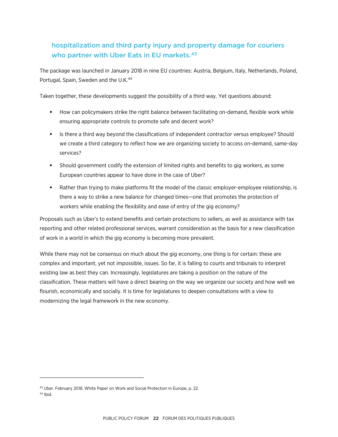### hospitalization and third party injury and property damage for couriers who partner with Uber Eats in EU markets.<sup>[43](#page-21-0)</sup>

The package was launched in January 2018 in nine EU countries: Austria, Belgium, Italy, Netherlands, Poland, Portugal, Spain, Sweden and the U.K.<sup>[44](#page-21-1)</sup>

Taken together, these developments suggest the possibility of a third way. Yet questions abound:

- **How can policymakers strike the right balance between facilitating on-demand, flexible work while** ensuring appropriate controls to promote safe and decent work?
- Is there a third way beyond the classifications of independent contractor versus employee? Should we create a third category to reflect how we are organizing society to access on-demand, same-day services?
- Should government codify the extension of limited rights and benefits to gig workers, as some European countries appear to have done in the case of Uber?
- **Rather than trying to make platforms fit the model of the classic employer-employee relationship, is** there a way to strike a new balance for changed times—one that promotes the protection of workers while enabling the flexibility and ease of entry of the gig economy?

Proposals such as Uber's to extend benefits and certain protections to sellers, as well as assistance with tax reporting and other related professional services, warrant consideration as the basis for a new classification of work in a world in which the gig economy is becoming more prevalent.

While there may not be consensus on much about the gig economy, one thing is for certain: these are complex and important, yet not impossible, issues. So far, it is falling to courts and tribunals to interpret existing law as best they can. Increasingly, legislatures are taking a position on the nature of the classification. These matters will have a direct bearing on the way we organize our society and how well we flourish, economically and socially. It is time for legislatures to deepen consultations with a view to modernizing the legal framework in the new economy.

<span id="page-21-0"></span><sup>43</sup> Uber. February 2018. White Paper on Work and Social Protection in Europe, p. 22.

<span id="page-21-1"></span><sup>44</sup> Ibid.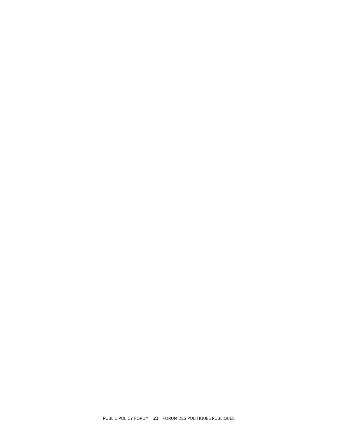PUBLIC POLICY FORUM 23 FORUM DES POLITIQUES PUBLIQUES